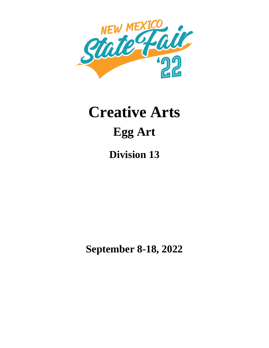

# **Creative Arts Egg Art**

**Division 13**

**September 8-18, 2022**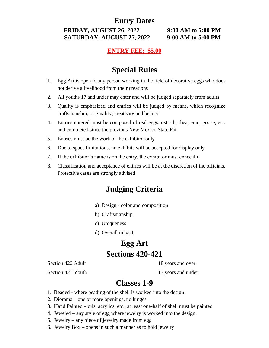**FRIDAY, AUGUST 26, 2022 9:00 AM to 5:00 PM SATURDAY, AUGUST 27, 2022 9:00 AM to 5:00 PM**

#### **ENTRY FEE: \$5.00**

# **Special Rules**

- 1. Egg Art is open to any person working in the field of decorative eggs who does not derive a livelihood from their creations
- 2. All youths 17 and under may enter and will be judged separately from adults
- 3. Quality is emphasized and entries will be judged by means, which recognize craftsmanship, originality, creativity and beauty
- 4. Entries entered must be composed of real eggs, ostrich, rhea, emu, goose, etc. and completed since the previous New Mexico State Fair
- 5. Entries must be the work of the exhibitor only
- 6. Due to space limitations, no exhibits will be accepted for display only
- 7. If the exhibitor's name is on the entry, the exhibitor must conceal it
- 8. Classification and acceptance of entries will be at the discretion of the officials. Protective cases are strongly advised

# **Judging Criteria**

- a) Design color and composition
- b) Craftsmanship
- c) Uniqueness
- d) Overall impact

## **Egg Art Sections 420-421**

Section 420 Adult 18 years and over

Section 421 Youth 17 years and under

#### **Classes 1-9**

- 1. Beaded where beading of the shell is worked into the design
- 2. Diorama one or more openings, no hinges
- 3. Hand Painted oils, acrylics, etc., at least one-half of shell must be painted
- 4. Jeweled any style of egg where jewelry is worked into the design
- 5. Jewelry any piece of jewelry made from egg
- 6. Jewelry Box opens in such a manner as to hold jewelry